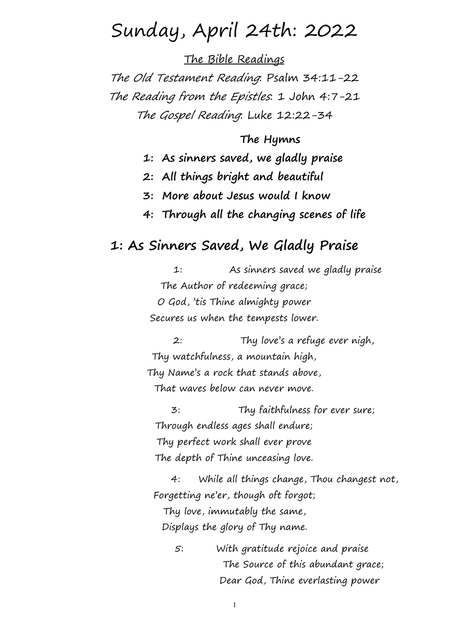# Sunday, April 24th: 2022

The Bible Readings

The Old Testament Reading: Psalm 34:11-22 The Reading from the Epistles: 1 John 4:7-21 The Gospel Reading: Luke 12:22-34

### **The Hymns**

**1: As sinners saved, we gladly praise**

- **2: All things bright and beautiful**
- **3: More about Jesus would I know**
- **4: Through all the changing scenes of life**

### **1: As Sinners Saved, We Gladly Praise**

1: As sinners saved we gladly praise The Author of redeeming grace; O God, 'tis Thine almighty power Secures us when the tempests lower.

2: Thy love's a refuge ever nigh, Thy watchfulness, a mountain high, Thy Name's a rock that stands above, That waves below can never move.

3: Thy faithfulness for ever sure; Through endless ages shall endure; Thy perfect work shall ever prove The depth of Thine unceasing love.

4: While all things change, Thou changest not,Forgetting ne'er, though oft forgot; Thy love, immutably the same, Displays the glory of Thy name.

5: With gratitude rejoice and praise The Source of this abundant grace; Dear God, Thine everlasting power

1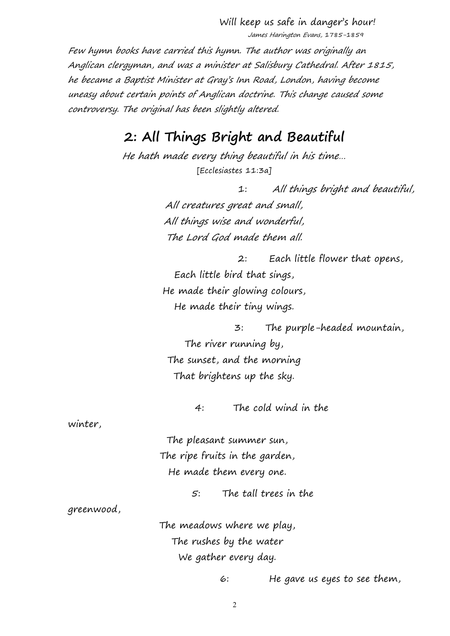Will keep us safe in danger's hour! James Harington Evans, 1785-1859

Few hymn books have carried this hymn. The author was originally an Anglican clergyman, and was <sup>a</sup> minister at Salisbury Cathedral. After 1815, he became <sup>a</sup> Baptist Minister at Gray's Inn Road, London, having become uneasy about certain points of Anglican doctrine. This change caused some controversy. The original has been slightly altered.

## **2: All Things Bright and Beautiful**

He hath made every thing beautiful in his time… [Ecclesiastes 11:3a]

> 1: All things bright and beautiful, All creatures great and small, All things wise and wonderful, The Lord God made them all.

2: Each little flower that opens, Each little bird that sings, He made their glowing colours, He made their tiny wings.

3: The purple-headed mountain, The river running by, The sunset, and the morning That brightens up the sky.

4: The cold wind in the

winter,

The pleasant summer sun, The ripe fruits in the garden, He made them every one.

5: The tall trees in the

greenwood,

The meadows where we play, The rushes by the water We gather every day.

6: He gave us eyes to see them,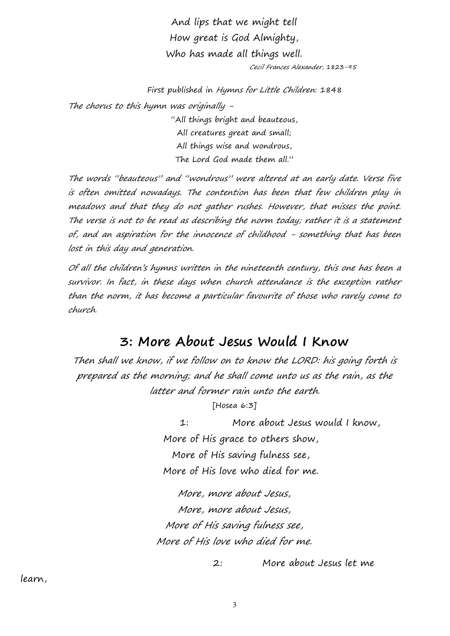And lips that we might tell How great is God Almighty, Who has made all things well. Cecil Frances Alexander, 1823-95

First published in Hymns for Little Children: 1848 The chorus to this hymn was originally - "All things bright and beauteous,

All creatures great and small; All things wise and wondrous, The Lord God made them all."

The words "beauteous" and "wondrous" were altered at an early date. Verse five is often omitted nowadays. The contention has been that few children play in meadows and that they do not gather rushes. However, that misses the point. The verse is not to be read as describing the norm today; rather it is <sup>a</sup> statement of, and an aspiration for the innocence of childhood - something that has been lost in this day and generation.

Of all the children's hymns written in the nineteenth century, this one has been a survivor. In fact, in these days when church attendance is the exception rather than the norm, it has become <sup>a</sup> particular favourite of those who rarely come to church.

### **3: More About Jesus Would I Know**

Then shall we know, if we follow on to know the LORD: his going forth is prepared as the morning; and he shall come unto us as the rain, as the latter and former rain unto the earth.

[Hosea 6:3]

1: More about Jesus would I know, More of His grace to others show, More of His saving fulness see, More of His love who died for me.

More, more about Jesus, More, more about Jesus, More of His saving fulness see, More of His love who died for me.

2: More about Jesus let me

learn,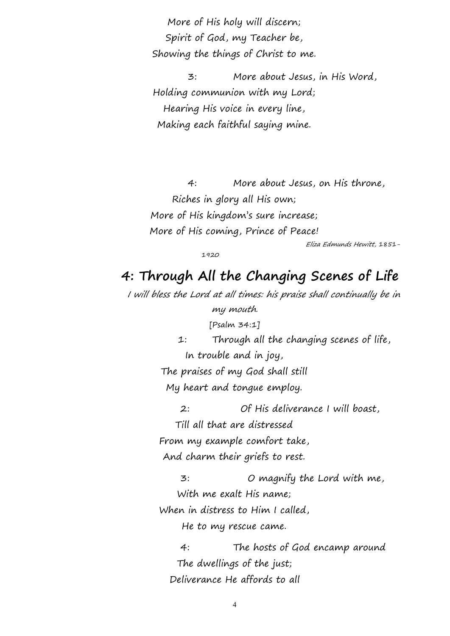More of His holy will discern; Spirit of God, my Teacher be, Showing the things of Christ to me.

3: More about Jesus, in His Word, Holding communion with my Lord; Hearing His voice in every line, Making each faithful saying mine.

4: More about Jesus, on His throne, Riches in glory all His own; More of His kingdom's sure increase; More of His coming, Prince of Peace!

Eliza Edmunds Hewitt, 1851-

1920

# **4: Through All the Changing Scenes of Life**

<sup>I</sup> will bless the Lord at all times: his praise shall continually be in my mouth. [Psalm 34:1]

> 1: Through all the changing scenes of life, In trouble and in joy, The praises of my God shall still

My heart and tongue employ.

2: Of His deliverance I will boast, Till all that are distressed From my example comfort take, And charm their griefs to rest.

3: O magnify the Lord with me, With me exalt His name; When in distress to Him I called, He to my rescue came.

4: The hosts of God encamp around The dwellings of the just; Deliverance He affords to all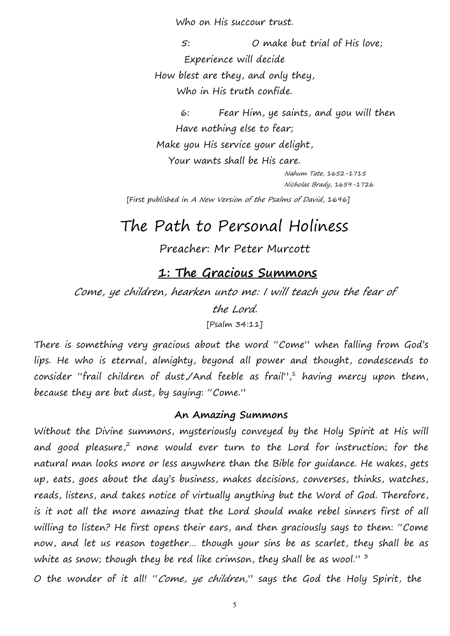Who on His succour trust.

5: O make but trial of His love; Experience will decide How blest are they, and only they, Who in His truth confide.

6: Fear Him, ye saints, and you will then Have nothing else to fear; Make you His service your delight, Your wants shall be His care. Nahum Tate, 1652-1715

Nicholas Brady, 1659-1726

[First published in A New Version of the Psalms of David, 1696]

# The Path to Personal Holiness

Preacher: Mr Peter Murcott

# **1: The Gracious Summons**

Come, ye children, hearken unto me: <sup>I</sup> will teach you the fear of

the Lord.

[Psalm 34:11]

There is something very gracious about the word "Come" when falling from God's lips. He who is eternal, almighty, beyond all power and thought, condescends to consider "frail children of dust,/And feeble as frail",<sup>1</sup> having mercy upon them, because they are but dust, by saying: "Come."

### **An Amazing Summons**

Without the Divine summons, mysteriously conveyed by the Holy Spirit at His will and good pleasure,<sup>2</sup> none would ever turn to the Lord for instruction; for the natural man looks more or less anywhere than the Bible for guidance. He wakes, gets up, eats, goes about the day's business, makes decisions, converses, thinks, watches, reads, listens, and takes notice of virtually anything but the Word of God. Therefore, is it not all the more amazing that the Lord should make rebel sinners first of all willing to listen? He first opens their ears, and then graciously says to them: "Come now, and let us reason together… though your sins be as scarlet, they shall be as white as snow; though they be red like crimson, they shall be as wool."  $3$  $3 - 3$ 

O the wonder of it all! "Come, ye children," says the God the Holy Spirit, the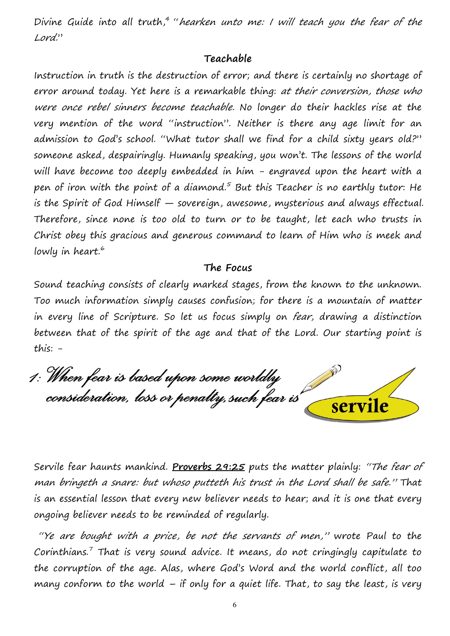Divine Guide into all truth,<sup>4</sup> "hearken unto me: I will teach you the fear of the Lord."

#### **Teachable**

Instruction in truth is the destruction of error; and there is certainly no shortage of error around today. Yet here is a remarkable thing: at their conversion, those who were once rebel sinners become teachable. No longer do their hackles rise at the very mention of the word "instruction". Neither is there any age limit for an admission to God's school. "What tutor shall we find for a child sixty years old?" someone asked, despairingly. Humanly speaking, you won't. The lessons of the world will have become too deeply embedded in him - engraved upon the heart with a pen of iron with the point of a diamond.<sup>5</sup> But this Teacher is no earthly tutor: He is the Spirit of God Himself — sovereign, awesome, mysterious and always effectual. Therefore, since none is too old to turn or to be taught, let each who trusts in Christ obey this gracious and generous command to learn of Him who is meek and lowly in heart. $\degree$ 

#### **The Focus**

Sound teaching consists of clearly marked stages, from the known to the unknown. Too much information simply causes confusion; for there is a mountain of matter in every line of Scripture. So let us focus simply on *fear*, drawing a distinction between that of the spirit of the age and that of the Lord. Our starting point is this: -

1: When fear is based upon some worldly consideration, loss or penalty, such fear is servile

Servile fear haunts mankind. **Proverbs 29:25** puts the matter plainly:"The fear of man bringeth <sup>a</sup> snare: but whoso putteth his trust in the Lord shall be safe." That is an essential lesson that every new believer needs to hear; and it is one that every ongoing believer needs to be reminded of regularly.

"Ye are bought with a price, be not the servants of men," wrote Paul to the Corinthians.<sup>7</sup> That is very sound advice. It means, do not cringingly capitulate to the corruption of the age. Alas, where God's Word and the world conflict, all too many conform to the world  $-$  if only for a quiet life. That, to say the least, is very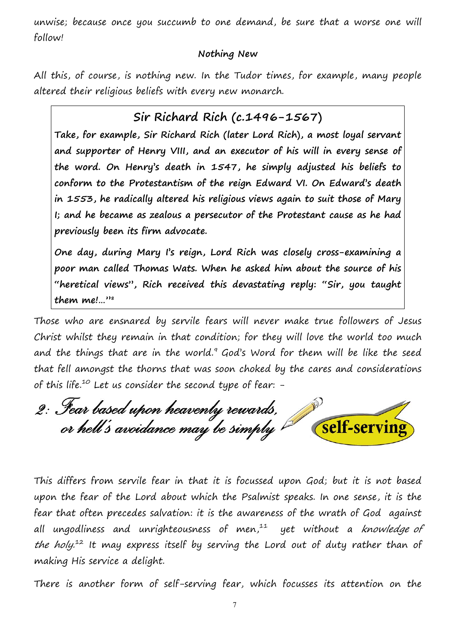unwise; because once you succumb to one demand, be sure that a worse one will follow!

#### **Nothing New**

All this, of course, is nothing new. In the Tudor times, for example, many people altered their religious beliefs with every new monarch.

### **Sir Richard Rich (c.1496-1567)**

**Take, for example, Sir Richard Rich (later Lord Rich), a most loyal servant and supporter of Henry VIII, and an executor of his will in every sense of the word. On Henry's death in 1547,he simply adjusted his beliefs to conform to the Protestantism of the reign Edward VI. On Edward's death in 1553, he radically altered his religious views again to suit those of Mary I; and he became as zealous a persecutor of the Protestant cause as he had previously been its firm advocate.**

**One day, during Mary I's reign, Lord Rich was closely cross-examining a poor man called Thomas Wats. When he asked him about the source of his "heretical views", Rich received this devastating reply: "Sir, you taught them me!…" 8**

Those who are ensnared by servile fears will never make true followers of Jesus Christ whilst they remain in that condition; for they will love the world too much and the things that are in the world.<sup>9</sup> God's Word for them will be like the seed that fell amongst the thorns that was soon choked by the cares and considerations of this life.<sup>10</sup> Let us consider the second type of fear:  $-$ 

2: Fear based upon heavenly rewards,<br>or hell's avoidance may be simply self-serving

This differs from servile fear in that it is focussed upon God; but it is not based upon the fear of the Lord about which the Psalmist speaks. In one sense, it is the fear that often precedes salvation: it is the awareness of the wrath of God against all ungodliness and unrighteousness of men, $11$  yet without a knowledge of *the holy.*<sup>12</sup> It may express itself by serving the Lord out of duty rather than of making His service a delight.

There is another form of self-serving fear, which focusses its attention on the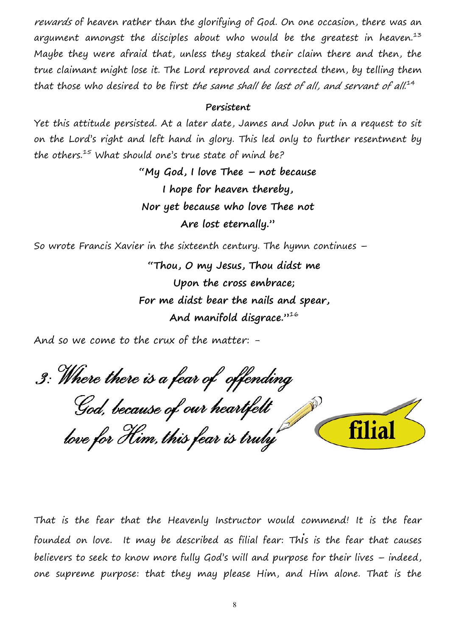rewards of heaven rather than the glorifying of God. On one occasion, there was an argument amongst the disciples about who would be the greatest in heaven.<sup>13</sup> Maybe they were afraid that, unless they staked their claim there and then, the true claimant might lose it. The Lord reproved and corrected them, by telling them that those who desired to be first the same shall be last of all, and servant of all.<sup>14</sup>

#### **Persistent**

Yet this attitude persisted. At a later date, James and John put in a request to sit on the Lord's right and left hand in glory. This led only to further resentment by the others.<sup>15</sup> What should one's true state of mind be?

> **"My God, I love Thee – not because I hope for heaven thereby, Nor yet because who love Thee not Are lost eternally."**

So wrote Francis Xavier in the sixteenth century. The hymn continues –

**"Thou, O my Jesus, Thou didst me Upon the cross embrace; For me didst bear the nails and spear, And manifold disgrace."**  $16$ 

And so we come to the crux of the matter: -

3: Where there is a fear of offending God, because of our heartfelt **filial** love for Him, this fear is truly

That is the fear that the Heavenly Instructor would commend! It is the fear founded on love. It may be described as filial fear: This is the fear that causes believers to seek to know more fully God's will and purpose for their lives – indeed, one supreme purpose: that they may please Him, and Him alone. That is the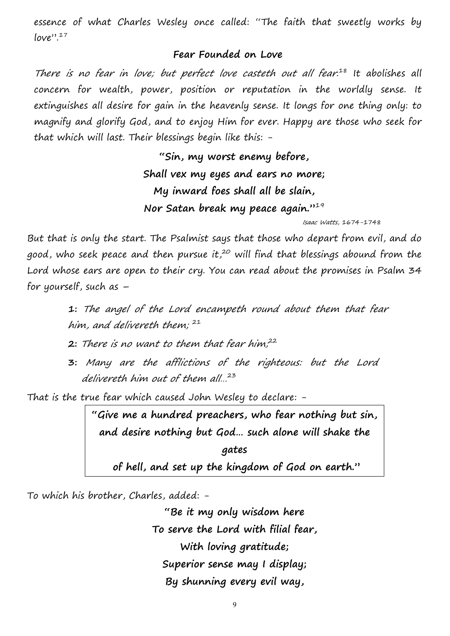essence of what Charles Wesley once called: "The faith that sweetly works by  $love$ ".<sup>17</sup>

#### **Fear Founded on Love**

There is no fear in love; but perfect love casteth out all fear.<sup>18</sup> It abolishes all concern for wealth, power, position or reputation in the worldly sense. It extinguishes all desire for gain in the heavenly sense. It longs for one thing only: to magnify and glorify God, and to enjoy Him for ever. Happy are those who seek for that which will last. Their blessings begin like this: -

> **"Sin, my worst enemy before, Shall vex my eyes and ears no more; My inward foes shallall be slain, Nor Satan break my peace again."**  $19$

> > Isaac Watts, 1674-1748

But that is only the start. The Psalmist says that those who depart from evil, and do good, who seek peace and then pursue it,<sup>20</sup> will find that blessings abound from the Lord whose ears are open to their cry. You can read about the promises in Psalm 34 for yourself, such as –

> **1:** The angel of the Lord encampeth round about them that fear him, and delivereth them;  $21$

**2:** There is no want to them that fear him,<sup>22</sup>

**3:** Many are the afflictions of the righteous: but the Lord delivereth him out of them all… 23

That is the true fear which caused John Wesley to declare: -

**"Give me a hundred preachers, who fear nothing but sin, and desire nothing butGod… such alonewill shake the**

**gates of hell, and set up the kingdom of God on earth."**

To which his brother, Charles, added: -

**"Be it my only wisdom here To serve the Lord with filial fear, With loving gratitude; Superior sense may I display; By shunning every evil way,**